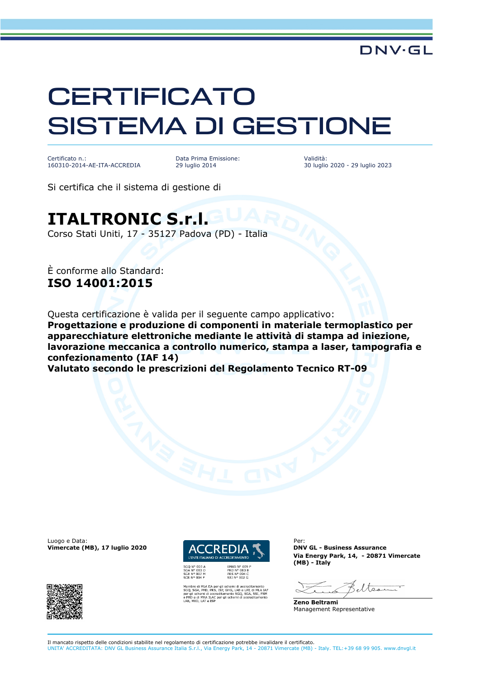## **CERTIFICATO** SISTEMA DI GESTIONE

Certificato n.: 160310-2014-AE-ITA-ACCREDIA Data Prima Emissione: 29 luglio 2014

Validità: 30 luglio 2020 - 29 luglio 2023

Si certifica che il sistema di gestione di

## **ITALTRONIC S.r.l.**

Corso Stati Uniti, 17 - 35127 Padova (PD) - Italia

È conforme allo Standard: **ISO 14001:2015**

Questa certificazione è valida per il seguente campo applicativo:

**Progettazione e produzione di componenti in materiale termoplastico per apparecchiature elettroniche mediante le attività di stampa ad iniezione, lavorazione meccanica a controllo numerico, stampa a laser, tampografia e confezionamento (IAF 14)**

**Valutato secondo le prescrizioni del Regolamento Tecnico RT-09**

Luogo e Data:<br>
Vimercate (MB), 17 Iuglio 2020 **ACCREDIA 1** DNV GL - Business Assurance **Vimercate (MB), 17 luglio 2020** 





HG, LAB e LAT, di Mento SGQ, SGA, SSI<br>schemi di accredita

**Via Energy Park, 14, - 20871 Vimercate (MB) - Italy**

eltse

**Zeno Beltrami** Management Representative

Il mancato rispetto delle condizioni stabilite nel regolamento di certificazione potrebbe invalidare il certificato. UNITA' ACCREDITATA: DNV GL Business Assurance Italia S.r.l., Via Energy Park, 14 - 20871 Vimercate (MB) - Italy. TEL:+39 68 99 905. www.dnvgl.it